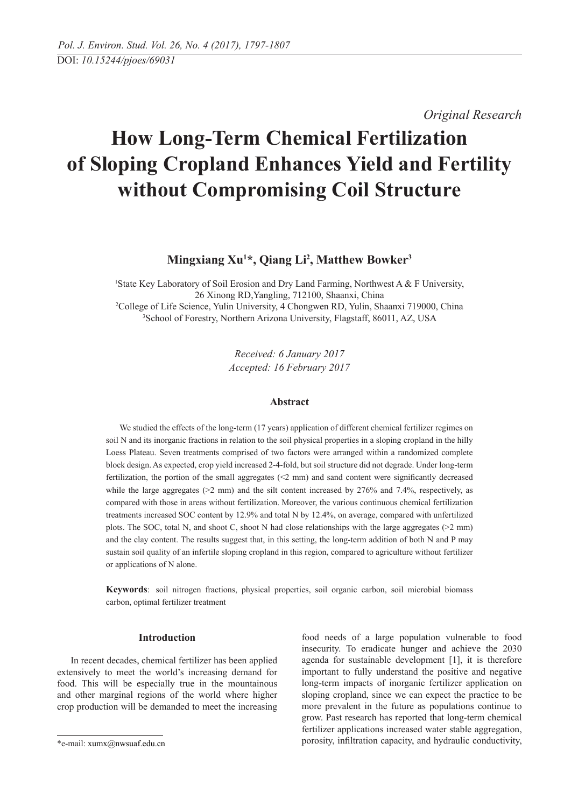*Original Research* 

# **How Long-Term Chemical Fertilization of Sloping Cropland Enhances Yield and Fertility without Compromising Coil Structure**

## **Mingxiang Xu1 \*, Qiang Li2 , Matthew Bowker3**

<sup>1</sup>State Key Laboratory of Soil Erosion and Dry Land Farming, Northwest A  $\&$  F University, 26 Xinong RD,Yangling, 712100, Shaanxi, China 2 College of life science, Yulin University, 4 Chongwen RD, Yulin, Shaanxi 719000, China 3 School of Forestry, Northern Arizona University, Flagstaff, 86011, AZ, USA

> *Received: 6 January 2017 Accepted: 16 February 2017*

## **Abstract**

We studied the effects of the long-term (17 years) application of different chemical fertilizer regimes on soil N and its inorganic fractions in relation to the soil physical properties in a sloping cropland in the hilly Loess Plateau. Seven treatments comprised of two factors were arranged within a randomized complete block design. As expected, crop yield increased 2-4-fold, but soil structure did not degrade. Under long-term fertilization, the portion of the small aggregates (<2 mm) and sand content were significantly decreased while the large aggregates ( $>2$  mm) and the silt content increased by 276% and 7.4%, respectively, as compared with those in areas without fertilization. Moreover, the various continuous chemical fertilization treatments increased SOC content by 12.9% and total N by 12.4%, on average, compared with unfertilized plots. The SOC, total N, and shoot C, shoot N had close relationships with the large aggregates (>2 mm) and the clay content. The results suggest that, in this setting, the long-term addition of both N and P may sustain soil quality of an infertile sloping cropland in this region, compared to agriculture without fertilizer or applications of N alone.

**Keywords**: soil nitrogen fractions, physical properties, soil organic carbon, soil microbial biomass carbon, optimal fertilizer treatment

## **Introduction**

In recent decades, chemical fertilizer has been applied extensively to meet the world's increasing demand for food. This will be especially true in the mountainous and other marginal regions of the world where higher crop production will be demanded to meet the increasing

food needs of a large population vulnerable to food insecurity. To eradicate hunger and achieve the 2030 agenda for sustainable development [1], it is therefore important to fully understand the positive and negative long-term impacts of inorganic fertilizer application on sloping cropland, since we can expect the practice to be more prevalent in the future as populations continue to grow. Past research has reported that long-term chemical fertilizer applications increased water stable aggregation, porosity, infiltration capacity, and hydraulic conductivity,

<sup>\*</sup>e-mail: xumx@nwsuaf.edu.cn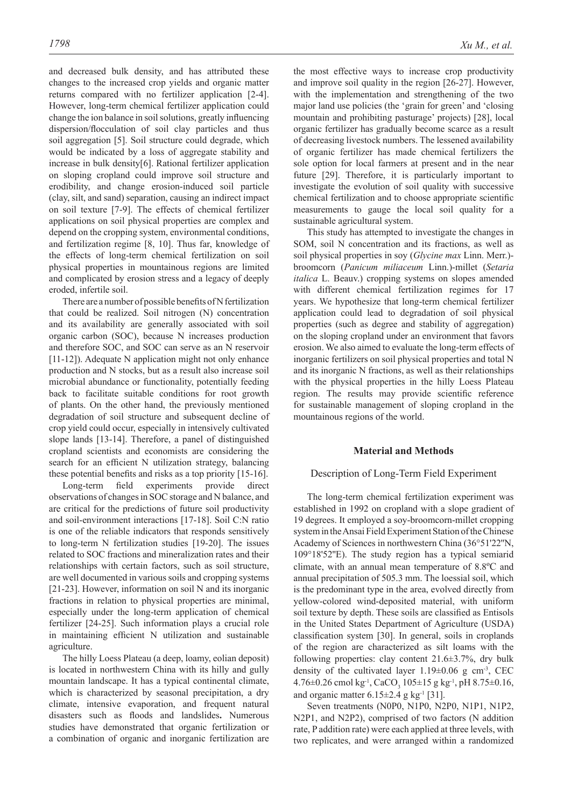and decreased bulk density, and has attributed these changes to the increased crop yields and organic matter returns compared with no fertilizer application [2-4]. However, long-term chemical fertilizer application could change the ion balance in soil solutions, greatly influencing dispersion/flocculation of soil clay particles and thus soil aggregation [5]. Soil structure could degrade, which would be indicated by a loss of aggregate stability and increase in bulk density[6]. Rational fertilizer application on sloping cropland could improve soil structure and erodibility, and change erosion-induced soil particle (clay, silt, and sand) separation, causing an indirect impact on soil texture [7-9]. The effects of chemical fertilizer applications on soil physical properties are complex and depend on the cropping system, environmental conditions, and fertilization regime [8, 10]. Thus far, knowledge of the effects of long-term chemical fertilization on soil physical properties in mountainous regions are limited and complicated by erosion stress and a legacy of deeply eroded, infertile soil.

There are a number of possible benefits of N fertilization that could be realized. Soil nitrogen (N) concentration and its availability are generally associated with soil organic carbon (SOC), because N increases production and therefore SOC, and SOC can serve as an N reservoir [11-12]). Adequate N application might not only enhance production and N stocks, but as a result also increase soil microbial abundance or functionality, potentially feeding back to facilitate suitable conditions for root growth of plants. On the other hand, the previously mentioned degradation of soil structure and subsequent decline of crop yield could occur, especially in intensively cultivated slope lands [13-14]. Therefore, a panel of distinguished cropland scientists and economists are considering the search for an efficient N utilization strategy, balancing these potential benefits and risks as a top priority [15-16].

Long-term field experiments provide direct observations of changes in SOC storage and N balance, and are critical for the predictions of future soil productivity and soil-environment interactions [17-18]. Soil C:N ratio is one of the reliable indicators that responds sensitively to long-term N fertilization studies [19-20]. The issues related to SOC fractions and mineralization rates and their relationships with certain factors, such as soil structure, are well documented in various soils and cropping systems [21-23]. However, information on soil N and its inorganic fractions in relation to physical properties are minimal, especially under the long-term application of chemical fertilizer [24-25]. Such information plays a crucial role in maintaining efficient N utilization and sustainable agriculture.

The hilly Loess Plateau (a deep, loamy, eolian deposit) is located in northwestern China with its hilly and gully mountain landscape. It has a typical continental climate, which is characterized by seasonal precipitation, a dry climate, intensive evaporation, and frequent natural disasters such as floods and landslides**.** Numerous studies have demonstrated that organic fertilization or a combination of organic and inorganic fertilization are the most effective ways to increase crop productivity and improve soil quality in the region [26-27]. However, with the implementation and strengthening of the two major land use policies (the 'grain for green' and 'closing mountain and prohibiting pasturage' projects) [28], local organic fertilizer has gradually become scarce as a result of decreasing livestock numbers. The lessened availability of organic fertilizer has made chemical fertilizers the sole option for local farmers at present and in the near future [29]. Therefore, it is particularly important to investigate the evolution of soil quality with successive chemical fertilization and to choose appropriate scientific measurements to gauge the local soil quality for a sustainable agricultural system.

This study has attempted to investigate the changes in SOM, soil N concentration and its fractions, as well as soil physical properties in soy (*Glycine max* Linn. Merr.) broomcorn (*Panicum miliaceum* Linn.)-millet (*Setaria italica* L. Beauv.) cropping systems on slopes amended with different chemical fertilization regimes for 17 years. We hypothesize that long-term chemical fertilizer application could lead to degradation of soil physical properties (such as degree and stability of aggregation) on the sloping cropland under an environment that favors erosion. We also aimed to evaluate the long-term effects of inorganic fertilizers on soil physical properties and total N and its inorganic N fractions, as well as their relationships with the physical properties in the hilly Loess Plateau region. The results may provide scientific reference for sustainable management of sloping cropland in the mountainous regions of the world.

#### **Material and Methods**

#### Description of Long-Term Field Experiment

The long-term chemical fertilization experiment was established in 1992 on cropland with a slope gradient of 19 degrees. It employed a soy-broomcorn-millet cropping system in the Ansai Field Experiment Station of the Chinese Academy of Sciences in northwestern China (36°51'22''N, 109°18'52''E). The study region has a typical semiarid climate, with an annual mean temperature of 8.8ºC and annual precipitation of 505.3 mm. The loessial soil, which is the predominant type in the area, evolved directly from yellow-colored wind-deposited material, with uniform soil texture by depth. These soils are classified as Entisols in the United States Department of Agriculture (USDA) classification system [30]. In general, soils in croplands of the region are characterized as silt loams with the following properties: clay content 21.6±3.7%, dry bulk density of the cultivated layer  $1.19\pm0.06$  g cm<sup>-3</sup>, CEC  $4.76\pm0.26$  cmol kg<sup>-1</sup>, CaCO<sub>3</sub> 105 $\pm$ 15 g kg<sup>-1</sup>, pH 8.75 $\pm$ 0.16, and organic matter  $6.15\pm2.4$  g kg<sup>-1</sup> [31].

Seven treatments (N0P0, N1P0, N2P0, N1P1, N1P2, N2P1, and N2P2), comprised of two factors (N addition rate, P addition rate) were each applied at three levels, with two replicates, and were arranged within a randomized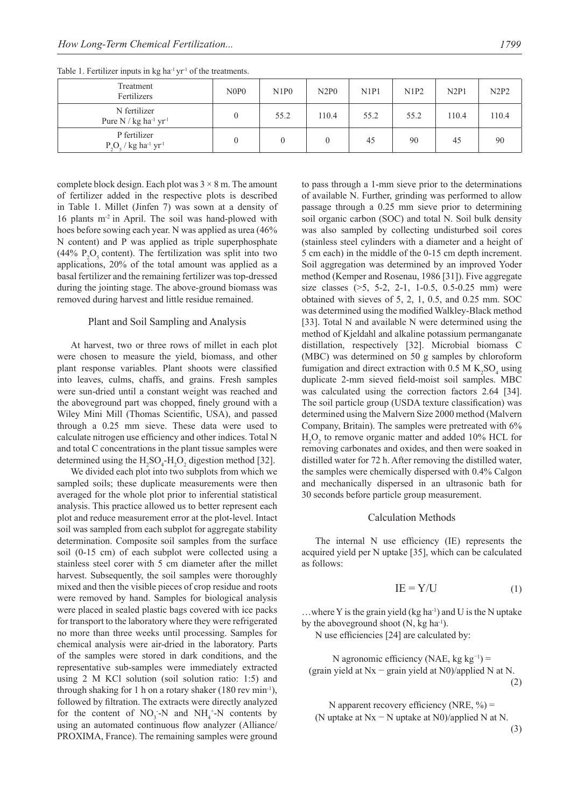| Treatment<br>Fertilizers                                        | N <sub>O</sub> P <sub>0</sub> | N1P0 | N2P0  | N1P1 | N1P2 | N2P1  | N2P2  |
|-----------------------------------------------------------------|-------------------------------|------|-------|------|------|-------|-------|
| N fertilizer<br>Pure $N / kg$ ha <sup>-1</sup> yr <sup>-1</sup> |                               | 55.2 | 110.4 | 55.2 | 55.2 | 110.4 | 110.4 |
| P fertilizer<br>$P_1O_5$ / kg ha <sup>-1</sup> yr <sup>-1</sup> |                               |      |       | 45   | 90   | 45    | 90    |

Table 1. Fertilizer inputs in  $kg$  ha<sup>-1</sup> yr<sup>-1</sup> of the treatments.

complete block design. Each plot was  $3 \times 8$  m. The amount of fertilizer added in the respective plots is described in Table 1. Millet (Jinfen 7) was sown at a density of 16 plants m-2 in April. The soil was hand-plowed with hoes before sowing each year. N was applied as urea (46% N content) and P was applied as triple superphosphate (44%  $P_2O_5$  content). The fertilization was split into two applications, 20% of the total amount was applied as a basal fertilizer and the remaining fertilizer was top-dressed during the jointing stage. The above-ground biomass was removed during harvest and little residue remained.

#### Plant and Soil Sampling and Analysis

At harvest, two or three rows of millet in each plot were chosen to measure the yield, biomass, and other plant response variables. Plant shoots were classified into leaves, culms, chaffs, and grains. Fresh samples were sun-dried until a constant weight was reached and the aboveground part was chopped, finely ground with a Wiley Mini Mill (Thomas Scientific, USA), and passed through a 0.25 mm sieve. These data were used to calculate nitrogen use efficiency and other indices. Total N and total C concentrations in the plant tissue samples were determined using the  $H_2SO_4$ - $H_2O_2$  digestion method [32].

We divided each plot into two subplots from which we sampled soils; these duplicate measurements were then averaged for the whole plot prior to inferential statistical analysis. This practice allowed us to better represent each plot and reduce measurement error at the plot-level. Intact soil was sampled from each subplot for aggregate stability determination. Composite soil samples from the surface soil (0-15 cm) of each subplot were collected using a stainless steel corer with 5 cm diameter after the millet harvest. Subsequently, the soil samples were thoroughly mixed and then the visible pieces of crop residue and roots were removed by hand. Samples for biological analysis were placed in sealed plastic bags covered with ice packs for transport to the laboratory where they were refrigerated no more than three weeks until processing. Samples for chemical analysis were air-dried in the laboratory. Parts of the samples were stored in dark conditions, and the representative sub-samples were immediately extracted using 2 M KCl solution (soil solution ratio: 1:5) and through shaking for 1 h on a rotary shaker  $(180 \text{ rev min}^{-1})$ , followed by filtration. The extracts were directly analyzed for the content of  $NO_3$ -N and  $NH_4^+$ -N contents by using an automated continuous flow analyzer (Alliance/ PROXIMA, France). The remaining samples were ground

to pass through a 1-mm sieve prior to the determinations of available N. Further, grinding was performed to allow passage through a 0.25 mm sieve prior to determining soil organic carbon (SOC) and total N. Soil bulk density was also sampled by collecting undisturbed soil cores (stainless steel cylinders with a diameter and a height of 5 cm each) in the middle of the 0-15 cm depth increment. Soil aggregation was determined by an improved Yoder method (Kemper and Rosenau, 1986 [31]). Five aggregate size classes  $(>5, 5-2, 2-1, 1-0.5, 0.5-0.25 \text{ mm})$  were obtained with sieves of 5, 2, 1, 0.5, and 0.25 mm. SOC was determined using the modified Walkley-Black method [33]. Total N and available N were determined using the method of Kjeldahl and alkaline potassium permanganate distillation, respectively [32]. Microbial biomass C (MBC) was determined on 50 g samples by chloroform fumigation and direct extraction with  $0.5 M K_2 SO_4$  using duplicate 2-mm sieved field-moist soil samples. MBC was calculated using the correction factors 2.64 [34]. The soil particle group (USDA texture classification) was determined using the Malvern Size 2000 method (Malvern Company, Britain). The samples were pretreated with 6%  $H_2O_2$  to remove organic matter and added 10% HCL for removing carbonates and oxides, and then were soaked in distilled water for 72 h. After removing the distilled water, the samples were chemically dispersed with 0.4% Calgon and mechanically dispersed in an ultrasonic bath for 30 seconds before particle group measurement.

#### Calculation methods

The internal N use efficiency (IE) represents the acquired yield per N uptake [35], which can be calculated as follows:

$$
IE = Y/U \tag{1}
$$

...where Y is the grain yield  $(kg ha^{-1})$  and U is the N uptake by the aboveground shoot  $(N, kg ha^{-1})$ .

N use efficiencies [24] are calculated by:

N agronomic efficiency (NAE, kg kg<sup>-1</sup>) = (grain yield at Nx − grain yield at N0)/applied N at N. (2)

N apparent recovery efficiency (NRE,  $\%$ ) = (N uptake at Nx − N uptake at N0)/applied N at N.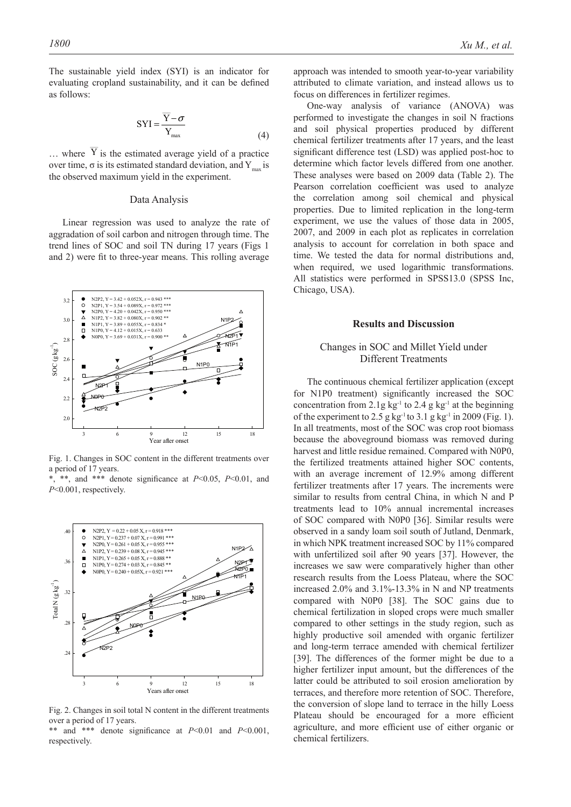$\overline{\phantom{a}}$ 

The sustainable yield index (SYI) is an indicator for evaluating cropland sustainability, and it can be defined as follows:

$$
SYI = \frac{\overline{Y} - \sigma}{Y_{\text{max}}}
$$
 (4)

 $\ldots$  where Y is the estimated average yield of a practice over time, σ is its estimated standard deviation, and  $Y_{\text{max}}$  is the observed maximum yield in the experiment.

#### Data Analysis

Linear regression was used to analyze the rate of aggradation of soil carbon and nitrogen through time. The trend lines of SOC and soil TN during 17 years (Figs 1 and 2) were fit to three-year means. This rolling average



Fig. 1. Changes in SOC content in the different treatments over a period of 17 years.

\*, \*\*, and \*\*\* denote significance at *P*<0.05, *P*<0.01, and *P*<0.001, respectively.



Fig. 2. Changes in soil total N content in the different treatments over a period of 17 years.

\*\* and \*\*\* denote significance at *P*<0.01 and *P*<0.001, respectively.

approach was intended to smooth year-to-year variability attributed to climate variation, and instead allows us to focus on differences in fertilizer regimes.

One-way analysis of variance (ANOVA) was performed to investigate the changes in soil N fractions and soil physical properties produced by different chemical fertilizer treatments after 17 years, and the least significant difference test (LSD) was applied post-hoc to determine which factor levels differed from one another. These analyses were based on 2009 data (Table 2). The Pearson correlation coefficient was used to analyze the correlation among soil chemical and physical properties. Due to limited replication in the long-term experiment, we use the values of those data in 2005, 2007, and 2009 in each plot as replicates in correlation analysis to account for correlation in both space and time. We tested the data for normal distributions and, when required, we used logarithmic transformations. All statistics were performed in SPSS13.0 (SPSS Inc, Chicago, USA).

#### **Results and Discussion**

## Changes in SOC and millet yield under Different Treatments

The continuous chemical fertilizer application (except for N1P0 treatment) significantly increased the SOC concentration from 2.1g kg<sup>-1</sup> to 2.4 g kg<sup>-1</sup> at the beginning of the experiment to 2.5 g kg<sup>-1</sup> to 3.1 g kg<sup>-1</sup> in 2009 (Fig. 1). In all treatments, most of the SOC was crop root biomass because the aboveground biomass was removed during harvest and little residue remained. Compared with N0P0, the fertilized treatments attained higher SOC contents, with an average increment of 12.9% among different fertilizer treatments after 17 years. The increments were similar to results from central China, in which N and P treatments lead to 10% annual incremental increases of SOC compared with N0P0 [36]. Similar results were observed in a sandy loam soil south of Jutland, Denmark, in which NPK treatment increased SOC by 11% compared with unfertilized soil after 90 years [37]. However, the increases we saw were comparatively higher than other research results from the Loess Plateau, where the SOC increased 2.0% and 3.1%-13.3% in N and NP treatments compared with N0P0 [38]. The SOC gains due to chemical fertilization in sloped crops were much smaller compared to other settings in the study region, such as highly productive soil amended with organic fertilizer and long-term terrace amended with chemical fertilizer [39]. The differences of the former might be due to a higher fertilizer input amount, but the differences of the latter could be attributed to soil erosion amelioration by terraces, and therefore more retention of SOC. Therefore, the conversion of slope land to terrace in the hilly Loess Plateau should be encouraged for a more efficient agriculture, and more efficient use of either organic or chemical fertilizers.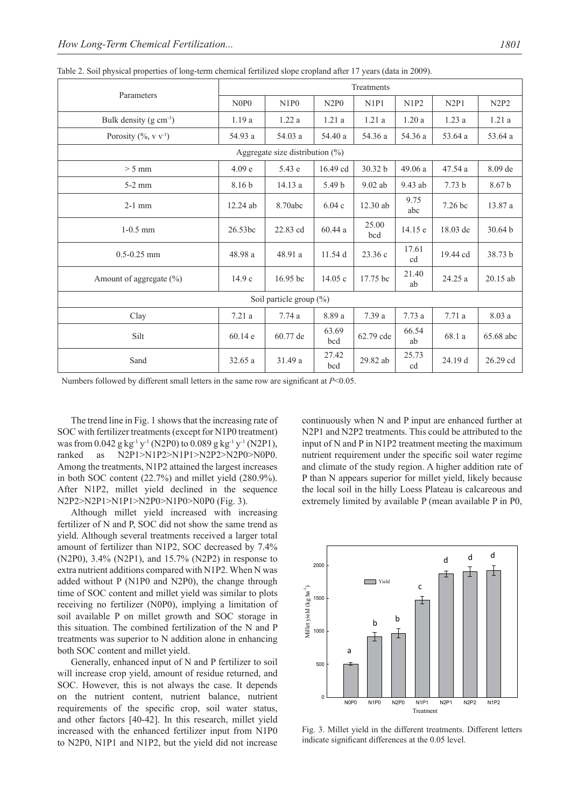|                                    | Treatments        |            |                   |              |             |                   |                   |  |  |
|------------------------------------|-------------------|------------|-------------------|--------------|-------------|-------------------|-------------------|--|--|
| Parameters                         | N0P0              | N1P0       | N2P0              | N1P1         | N1P2        | N2P1              | N2P2              |  |  |
| Bulk density $(g \text{ cm}^{-3})$ | 1.19a             | 1.22a      | 1.21a             | 1.21a        | 1.20a       | 1.23a             | 1.21a             |  |  |
| Porosity $(\% , v v-1)$            | 54.93 a           | 54.03 a    | 54.40 a           | 54.36 a      | 54.36 a     | 53.64 a           | 53.64 a           |  |  |
| Aggregate size distribution $(\%)$ |                   |            |                   |              |             |                   |                   |  |  |
| $> 5$ mm                           | 4.09 <sub>e</sub> | 5.43 e     | 16.49 cd          | 30.32 b      | 49.06a      | 47.54 a           | 8.09 de           |  |  |
| $5-2$ mm                           | 8.16 b            | 14.13 a    | 5.49 <sub>b</sub> | $9.02$ ab    | 9.43 ab     | 7.73 <sub>b</sub> | 8.67 <sub>b</sub> |  |  |
| $2-1$ mm                           | $12.24$ ab        | 8.70abc    | 6.04c             | $12.30$ ab   | 9.75<br>abc | $7.26$ bc         | 13.87 a           |  |  |
| $1-0.5$ mm                         | 26.53bc           | 22.83 cd   | 60.44a            | 25.00<br>bcd | 14.15 e     | 18.03 de          | 30.64 b           |  |  |
| $0.5 - 0.25$ mm                    | 48.98 a           | 48.91 a    | 11.54 d           | 23.36 c      | 17.61<br>cd | 19.44 cd          | 38.73 b           |  |  |
| Amount of aggregate $(\% )$        | 14.9c             | $16.95$ bc | 14.05c            | 17.75 bc     | 21.40<br>ab | 24.25 a           | $20.15$ ab        |  |  |
| Soil particle group (%)            |                   |            |                   |              |             |                   |                   |  |  |
| Clay                               | 7.21a             | 7.74a      | 8.89 a            | 7.39 a       | 7.73a       | 7.71a             | 8.03a             |  |  |
| Silt                               | 60.14e            | 60.77 de   | 63.69<br>bcd      | 62.79 cde    | 66.54<br>ab | 68.1 a            | 65.68 abc         |  |  |
| Sand                               | 32.65 a           | 31.49 a    | 27.42<br>bcd      | 29.82 ab     | 25.73<br>cd | 24.19 d           | 26.29 cd          |  |  |

Table 2. Soil physical properties of long-term chemical fertilized slope cropland after 17 years (data in 2009).

Numbers followed by different small letters in the same row are significant at *P*<0.05.

The trend line in Fig. 1 shows that the increasing rate of SOC with fertilizer treatments (except for N1P0 treatment) was from 0.042 g kg<sup>-1</sup> y<sup>-1</sup> (N2P0) to 0.089 g kg<sup>-1</sup> y<sup>-1</sup> (N2P1), ranked as N2P1>N1P2>N1P1>N2P2>N2P0>N0P0. Among the treatments, N1P2 attained the largest increases in both SOC content (22.7%) and millet yield (280.9%). After N1P2, millet yield declined in the sequence N2P2>N2P1>N1P1>N2P0>N1P0>N0P0 (Fig. 3).

Although millet yield increased with increasing fertilizer of N and P, SOC did not show the same trend as yield. Although several treatments received a larger total amount of fertilizer than N1P2, SOC decreased by 7.4% (N2P0), 3.4% (N2P1), and 15.7% (N2P2) in response to extra nutrient additions compared with N1P2. When N was added without P (N1P0 and N2P0), the change through time of SOC content and millet yield was similar to plots receiving no fertilizer (N0P0), implying a limitation of soil available P on millet growth and SOC storage in this situation. The combined fertilization of the N and P treatments was superior to N addition alone in enhancing both SOC content and millet yield.

Generally, enhanced input of N and P fertilizer to soil will increase crop yield, amount of residue returned, and SOC. However, this is not always the case. It depends on the nutrient content, nutrient balance, nutrient requirements of the specific crop, soil water status, and other factors [40-42]. In this research, millet yield increased with the enhanced fertilizer input from N1P0 to N2P0, N1P1 and N1P2, but the yield did not increase

continuously when N and P input are enhanced further at N2P1 and N2P2 treatments. This could be attributed to the input of N and P in N1P2 treatment meeting the maximum nutrient requirement under the specific soil water regime and climate of the study region. A higher addition rate of P than N appears superior for millet yield, likely because the local soil in the hilly Loess plateau is calcareous and extremely limited by available P (mean available P in P0,



Fig. 3. Millet yield in the different treatments. Different letters indicate significant differences at the 0.05 level.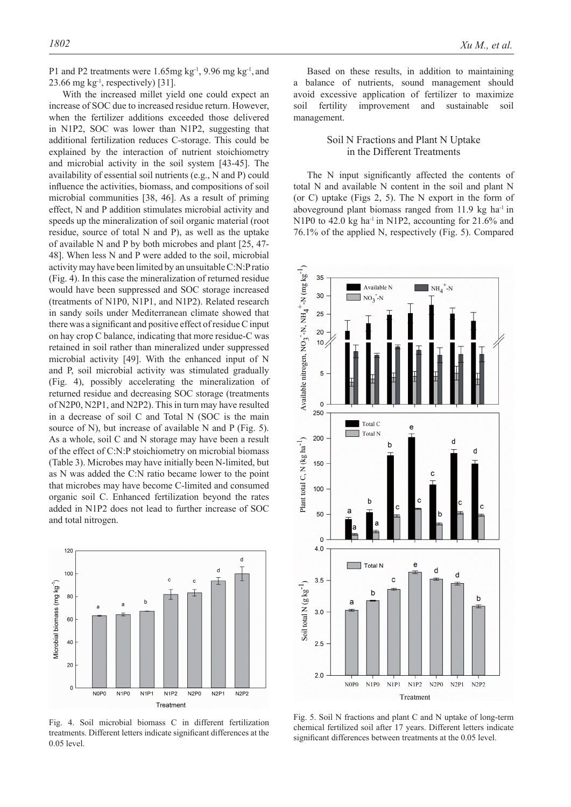With the increased millet yield one could expect an increase of SOC due to increased residue return. However, when the fertilizer additions exceeded those delivered in N1P2, SOC was lower than N1P2, suggesting that additional fertilization reduces C-storage. This could be explained by the interaction of nutrient stoichiometry and microbial activity in the soil system [43-45]. The availability of essential soil nutrients (e.g., N and P) could influence the activities, biomass, and compositions of soil microbial communities [38, 46]. As a result of priming effect, N and P addition stimulates microbial activity and speeds up the mineralization of soil organic material (root residue, source of total N and P), as well as the uptake of available N and P by both microbes and plant [25, 47- 48]. When less N and P were added to the soil, microbial activity may have been limited by an unsuitable C:N:P ratio (Fig. 4). In this case the mineralization of returned residue would have been suppressed and SOC storage increased (treatments of N1P0, N1P1, and N1P2). Related research in sandy soils under Mediterranean climate showed that there was a significant and positive effect of residue C input on hay crop C balance, indicating that more residue-C was retained in soil rather than mineralized under suppressed microbial activity [49]. With the enhanced input of N and P, soil microbial activity was stimulated gradually (Fig. 4), possibly accelerating the mineralization of returned residue and decreasing SOC storage (treatments of N2P0, N2P1, and N2P2). This in turn may have resulted in a decrease of soil C and Total N (SOC is the main source of N), but increase of available N and P (Fig. 5). As a whole, soil C and N storage may have been a result of the effect of C:N:P stoichiometry on microbial biomass (Table 3). Microbes may have initially been N-limited, but as N was added the C:N ratio became lower to the point that microbes may have become C-limited and consumed organic soil C. Enhanced fertilization beyond the rates added in N1P2 does not lead to further increase of SOC and total nitrogen.



Fig. 4. Soil microbial biomass C in different fertilization treatments. Different letters indicate significant differences at the 0.05 level.

Based on these results, in addition to maintaining a balance of nutrients, sound management should avoid excessive application of fertilizer to maximize soil fertility improvement and sustainable soil management.

## Soil N Fractions and Plant N Uptake in the Different Treatments

The N input significantly affected the contents of total N and available N content in the soil and plant N (or C) uptake (Figs 2, 5). The N export in the form of aboveground plant biomass ranged from  $11.9 \text{ kg}$  ha<sup>-1</sup> in N1P0 to 42.0 kg ha<sup>-1</sup> in N1P2, accounting for  $21.6\%$  and 76.1% of the applied N, respectively (Fig. 5). Compared



Fig. 5. Soil N fractions and plant C and N uptake of long-term chemical fertilized soil after 17 years. Different letters indicate significant differences between treatments at the 0.05 level.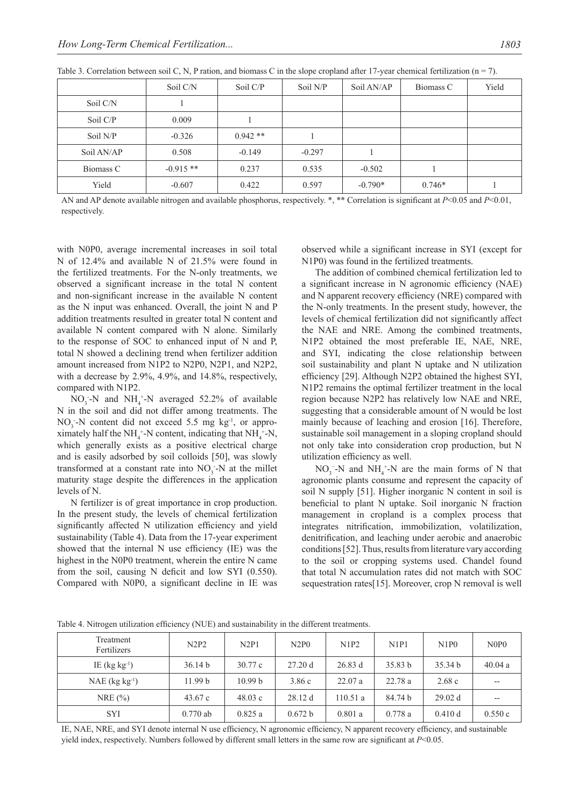|            | Soil C/N   | Soil C/P  | Soil N/P | Soil AN/AP | Biomass C | Yield |
|------------|------------|-----------|----------|------------|-----------|-------|
| Soil C/N   |            |           |          |            |           |       |
| Soil C/P   | 0.009      |           |          |            |           |       |
| Soil N/P   | $-0.326$   | $0.942**$ |          |            |           |       |
| Soil AN/AP | 0.508      | $-0.149$  | $-0.297$ |            |           |       |
| Biomass C  | $-0.915**$ | 0.237     | 0.535    | $-0.502$   |           |       |
| Yield      | $-0.607$   | 0.422     | 0.597    | $-0.790*$  | $0.746*$  |       |

Table 3. Correlation between soil C, N, P ration, and biomass C in the slope cropland after 17-year chemical fertilization ( $n = 7$ ).

AN and AP denote available nitrogen and available phosphorus, respectively. \*, \*\* Correlation is significant at *P*<0.05 and *P*<0.01, respectively.

with N0P0, average incremental increases in soil total N of 12.4% and available N of 21.5% were found in the fertilized treatments. For the N-only treatments, we observed a significant increase in the total N content and non-significant increase in the available N content as the N input was enhanced. Overall, the joint N and P addition treatments resulted in greater total N content and available N content compared with N alone. Similarly to the response of SOC to enhanced input of N and P, total N showed a declining trend when fertilizer addition amount increased from N1P2 to N2P0, N2P1, and N2P2, with a decrease by 2.9%, 4.9%, and 14.8%, respectively, compared with N1P2.

 $NO_3$ -N and  $NH_4$ <sup>+</sup>-N averaged 52.2% of available N in the soil and did not differ among treatments. The  $NO_3$ -N content did not exceed 5.5 mg kg<sup>-1</sup>, or approximately half the NH<sub>4</sub><sup>+</sup>-N content, indicating that NH<sub>4</sub><sup>+</sup>-N, which generally exists as a positive electrical charge and is easily adsorbed by soil colloids [50], was slowly transformed at a constant rate into  $NO_3$ -N at the millet maturity stage despite the differences in the application levels of N.

N fertilizer is of great importance in crop production. In the present study, the levels of chemical fertilization significantly affected N utilization efficiency and yield sustainability (Table 4). Data from the 17-year experiment showed that the internal N use efficiency (IE) was the highest in the N0P0 treatment, wherein the entire N came from the soil, causing N deficit and low SYI (0.550). Compared with N0P0, a significant decline in IE was observed while a significant increase in SYI (except for N1P0) was found in the fertilized treatments.

The addition of combined chemical fertilization led to a significant increase in N agronomic efficiency (NAE) and N apparent recovery efficiency (NRE) compared with the N-only treatments. In the present study, however, the levels of chemical fertilization did not significantly affect the NAE and NRE. Among the combined treatments, N1P2 obtained the most preferable IE, NAE, NRE, and SYI, indicating the close relationship between soil sustainability and plant N uptake and N utilization efficiency [29]. Although N2P2 obtained the highest SYI, N1P2 remains the optimal fertilizer treatment in the local region because N2P2 has relatively low NAE and NRE, suggesting that a considerable amount of N would be lost mainly because of leaching and erosion [16]. Therefore, sustainable soil management in a sloping cropland should not only take into consideration crop production, but N utilization efficiency as well.

 $NO_3^-$ -N and  $NH_4^+$ -N are the main forms of N that agronomic plants consume and represent the capacity of soil N supply [51]. Higher inorganic N content in soil is beneficial to plant N uptake. Soil inorganic N fraction management in cropland is a complex process that integrates nitrification, immobilization, volatilization, denitrification, and leaching under aerobic and anaerobic conditions [52]. Thus, results from literature vary according to the soil or cropping systems used. Chandel found that total N accumulation rates did not match with SOC sequestration rates[15]. Moreover, crop N removal is well

| Treatment<br>Fertilizers     | N2P2               | N2P1               | N2P0    | N1P2    | N1P1    | N1P0    | N0P0   |
|------------------------------|--------------------|--------------------|---------|---------|---------|---------|--------|
| IE $(kg kg-1)$               | 36.14 b            | 30.77c             | 27.20d  | 26.83 d | 35.83 b | 35.34 b | 40.04a |
| $NAE$ (kg kg <sup>-1</sup> ) | 11.99 <sub>b</sub> | 10.99 <sub>b</sub> | 3.86c   | 22.07a  | 22.78a  | 2.68c   | --     |
| NRE $(\% )$                  | 43.67c             | 48.03c             | 28.12d  | 110.51a | 84.74 b | 29.02 d | --     |
| <b>SYI</b>                   | $0.770$ ab         | 0.825a             | 0.672 b | 0.801a  | 0.778a  | 0.410 d | 0.550c |

Table 4. Nitrogen utilization efficiency (NUE) and sustainability in the different treatments.

IE, NAE, NRE, and SYI denote internal N use efficiency, N agronomic efficiency, N apparent recovery efficiency, and sustainable yield index, respectively. Numbers followed by different small letters in the same row are significant at *P*<0.05.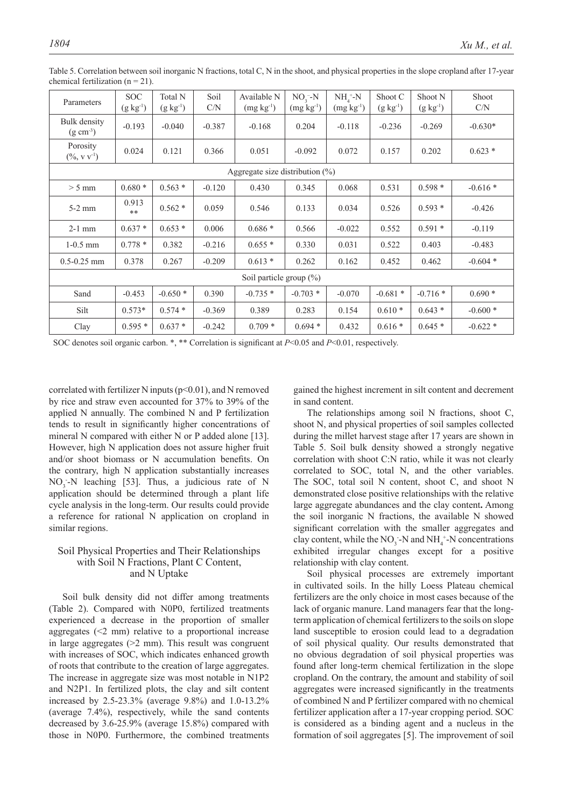| Parameters                            | <b>SOC</b><br>$(g \; kg^{-1})$      | Total N<br>$(g kg^{-1})$ | Soil<br>C/N | Available N<br>$(mg kg-1)$ | $NO3 - N$<br>$(mg kg-1)$ | $NH4+-N$<br>$(mg kg-1)$ | Shoot C<br>$(g \; kg^{-1})$ | Shoot N<br>$(g \, kg^{-1})$ | Shoot<br>C/N |  |
|---------------------------------------|-------------------------------------|--------------------------|-------------|----------------------------|--------------------------|-------------------------|-----------------------------|-----------------------------|--------------|--|
| Bulk density<br>$(g \text{ cm}^{-3})$ | $-0.193$                            | $-0.040$                 | $-0.387$    | $-0.168$                   | 0.204                    | $-0.118$                | $-0.236$                    | $-0.269$                    | $-0.630*$    |  |
| Porosity<br>$(\% , v v-1)$            | 0.024                               | 0.121                    | 0.366       | 0.051                      | $-0.092$                 | 0.072                   | 0.157                       | 0.202                       | $0.623 *$    |  |
|                                       | Aggregate size distribution $(\% )$ |                          |             |                            |                          |                         |                             |                             |              |  |
| $> 5$ mm                              | $0.680*$                            | $0.563*$                 | $-0.120$    | 0.430                      | 0.345                    | 0.068                   | 0.531                       | $0.598*$                    | $-0.616*$    |  |
| $5-2$ mm                              | 0.913<br>**                         | $0.562*$                 | 0.059       | 0.546                      | 0.133                    | 0.034                   | 0.526                       | $0.593*$                    | $-0.426$     |  |
| $2-1$ mm                              | $0.637*$                            | $0.653*$                 | 0.006       | $0.686*$                   | 0.566                    | $-0.022$                | 0.552                       | $0.591*$                    | $-0.119$     |  |
| $1-0.5$ mm                            | $0.778*$                            | 0.382                    | $-0.216$    | $0.655*$                   | 0.330                    | 0.031                   | 0.522                       | 0.403                       | $-0.483$     |  |
| $0.5 - 0.25$ mm                       | 0.378                               | 0.267                    | $-0.209$    | $0.613*$                   | 0.262                    | 0.162                   | 0.452                       | 0.462                       | $-0.604*$    |  |
| Soil particle group $(\%)$            |                                     |                          |             |                            |                          |                         |                             |                             |              |  |
| Sand                                  | $-0.453$                            | $-0.650*$                | 0.390       | $-0.735*$                  | $-0.703*$                | $-0.070$                | $-0.681*$                   | $-0.716*$                   | $0.690*$     |  |
| Silt                                  | $0.573*$                            | $0.574*$                 | $-0.369$    | 0.389                      | 0.283                    | 0.154                   | $0.610*$                    | $0.643*$                    | $-0.600*$    |  |
| Clay                                  | $0.595*$                            | $0.637*$                 | $-0.242$    | $0.709*$                   | $0.694*$                 | 0.432                   | $0.616*$                    | $0.645*$                    | $-0.622*$    |  |

Table 5. Correlation between soil inorganic N fractions, total C, N in the shoot, and physical properties in the slope cropland after 17-year chemical fertilization  $(n = 21)$ .

SOC denotes soil organic carbon. \*, \*\* Correlation is significant at *P*<0.05 and *P*<0.01, respectively.

correlated with fertilizer N inputs ( $p<0.01$ ), and N removed by rice and straw even accounted for 37% to 39% of the applied N annually. The combined N and P fertilization tends to result in significantly higher concentrations of mineral N compared with either N or P added alone [13]. However, high N application does not assure higher fruit and/or shoot biomass or N accumulation benefits. On the contrary, high N application substantially increases  $NO_3$ -N leaching [53]. Thus, a judicious rate of N application should be determined through a plant life cycle analysis in the long-term. Our results could provide a reference for rational N application on cropland in similar regions.

## Soil Physical Properties and Their Relationships with Soil N Fractions, Plant C Content, and N Uptake

Soil bulk density did not differ among treatments (Table 2). Compared with N0P0, fertilized treatments experienced a decrease in the proportion of smaller aggregates  $(\leq 2$  mm) relative to a proportional increase in large aggregates (>2 mm). This result was congruent with increases of SOC, which indicates enhanced growth of roots that contribute to the creation of large aggregates. The increase in aggregate size was most notable in N1P2 and N2P1. In fertilized plots, the clay and silt content increased by 2.5-23.3% (average 9.8%) and 1.0-13.2% (average 7.4%), respectively, while the sand contents decreased by 3.6-25.9% (average 15.8%) compared with those in N0P0. Furthermore, the combined treatments

gained the highest increment in silt content and decrement in sand content.

The relationships among soil N fractions, shoot C, shoot N, and physical properties of soil samples collected during the millet harvest stage after 17 years are shown in Table 5. Soil bulk density showed a strongly negative correlation with shoot C:N ratio, while it was not clearly correlated to SOC, total N, and the other variables. The SOC, total soil N content, shoot C, and shoot N demonstrated close positive relationships with the relative large aggregate abundances and the clay content**.** Among the soil inorganic N fractions, the available N showed significant correlation with the smaller aggregates and clay content, while the  $NO_3$ -N and  $NH_4$ <sup>+</sup>-N concentrations exhibited irregular changes except for a positive relationship with clay content.

Soil physical processes are extremely important in cultivated soils. In the hilly Loess Plateau chemical fertilizers are the only choice in most cases because of the lack of organic manure. Land managers fear that the longterm application of chemical fertilizers to the soils on slope land susceptible to erosion could lead to a degradation of soil physical quality. Our results demonstrated that no obvious degradation of soil physical properties was found after long-term chemical fertilization in the slope cropland. On the contrary, the amount and stability of soil aggregates were increased significantly in the treatments of combined N and P fertilizer compared with no chemical fertilizer application after a 17-year cropping period. SOC is considered as a binding agent and a nucleus in the formation of soil aggregates [5]. The improvement of soil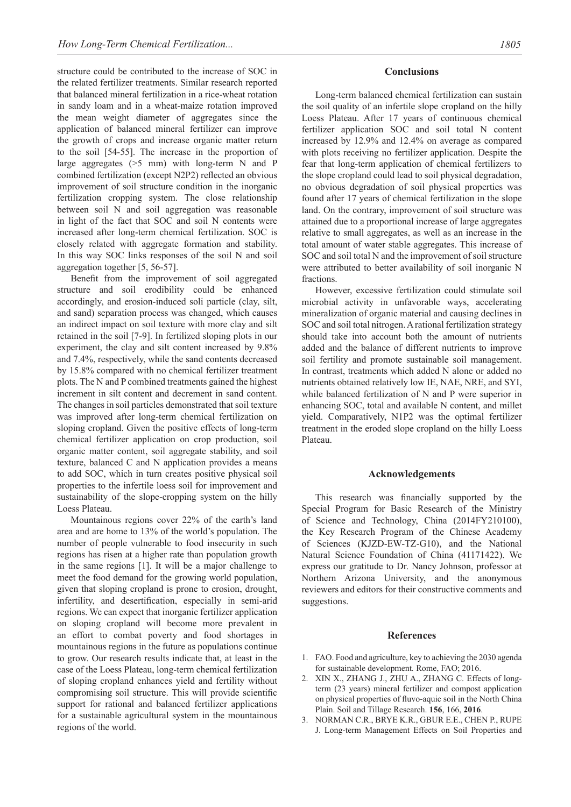structure could be contributed to the increase of SOC in the related fertilizer treatments. Similar research reported that balanced mineral fertilization in a rice-wheat rotation in sandy loam and in a wheat-maize rotation improved the mean weight diameter of aggregates since the application of balanced mineral fertilizer can improve the growth of crops and increase organic matter return to the soil [54-55]. The increase in the proportion of large aggregates  $(5 \, \text{mm})$  with long-term N and P combined fertilization (except N2P2) reflected an obvious improvement of soil structure condition in the inorganic fertilization cropping system. The close relationship between soil N and soil aggregation was reasonable in light of the fact that SOC and soil N contents were increased after long-term chemical fertilization. SOC is closely related with aggregate formation and stability. In this way SOC links responses of the soil N and soil aggregation together [5, 56-57].

Benefit from the improvement of soil aggregated structure and soil erodibility could be enhanced accordingly, and erosion-induced soli particle (clay, silt, and sand) separation process was changed, which causes an indirect impact on soil texture with more clay and silt retained in the soil [7-9]. In fertilized sloping plots in our experiment, the clay and silt content increased by 9.8% and 7.4%, respectively, while the sand contents decreased by 15.8% compared with no chemical fertilizer treatment plots. The N and P combined treatments gained the highest increment in silt content and decrement in sand content. The changes in soil particles demonstrated that soil texture was improved after long-term chemical fertilization on sloping cropland. Given the positive effects of long-term chemical fertilizer application on crop production, soil organic matter content, soil aggregate stability, and soil texture, balanced C and N application provides a means to add SOC, which in turn creates positive physical soil properties to the infertile loess soil for improvement and sustainability of the slope-cropping system on the hilly Loess Plateau.

Mountainous regions cover 22% of the earth's land area and are home to 13% of the world's population. The number of people vulnerable to food insecurity in such regions has risen at a higher rate than population growth in the same regions [1]. It will be a major challenge to meet the food demand for the growing world population, given that sloping cropland is prone to erosion, drought, infertility, and desertification, especially in semi-arid regions. We can expect that inorganic fertilizer application on sloping cropland will become more prevalent in an effort to combat poverty and food shortages in mountainous regions in the future as populations continue to grow. Our research results indicate that, at least in the case of the Loess Plateau, long-term chemical fertilization of sloping cropland enhances yield and fertility without compromising soil structure. This will provide scientific support for rational and balanced fertilizer applications for a sustainable agricultural system in the mountainous regions of the world.

#### **Conclusions**

Long-term balanced chemical fertilization can sustain the soil quality of an infertile slope cropland on the hilly Loess Plateau. After 17 years of continuous chemical fertilizer application SOC and soil total N content increased by 12.9% and 12.4% on average as compared with plots receiving no fertilizer application. Despite the fear that long-term application of chemical fertilizers to the slope cropland could lead to soil physical degradation, no obvious degradation of soil physical properties was found after 17 years of chemical fertilization in the slope land. On the contrary, improvement of soil structure was attained due to a proportional increase of large aggregates relative to small aggregates, as well as an increase in the total amount of water stable aggregates. This increase of SOC and soil total N and the improvement of soil structure were attributed to better availability of soil inorganic N fractions.

However, excessive fertilization could stimulate soil microbial activity in unfavorable ways, accelerating mineralization of organic material and causing declines in SOC and soil total nitrogen. A rational fertilization strategy should take into account both the amount of nutrients added and the balance of different nutrients to improve soil fertility and promote sustainable soil management. In contrast, treatments which added N alone or added no nutrients obtained relatively low IE, NAE, NRE, and SYI, while balanced fertilization of N and P were superior in enhancing SOC, total and available N content, and millet yield. Comparatively, N1P2 was the optimal fertilizer treatment in the eroded slope cropland on the hilly Loess Plateau.

#### **Acknowledgements**

This research was financially supported by the Special Program for Basic Research of the Ministry of Science and Technology, China (2014FY210100), the Key Research Program of the Chinese Academy of Sciences (KJZD-EW-TZ-G10), and the National Natural Science Foundation of China (41171422). We express our gratitude to Dr. Nancy Johnson, professor at Northern Arizona University, and the anonymous reviewers and editors for their constructive comments and suggestions.

## **References**

- 1. FAO. Food and agriculture, key to achieving the 2030 agenda for sustainable development*.* Rome, FAO; 2016.
- 2. XIN X., ZHANG J., ZHU A., ZHANG C. Effects of longterm (23 years) mineral fertilizer and compost application on physical properties of fluvo-aquic soil in the North China Plain. Soil and Tillage Research. **156**, 166, **2016**.
- 3. NORMAN C.R., BRYE K.R., GBUR E.E., CHEN P., RUPE J. Long-term Management Effects on Soil Properties and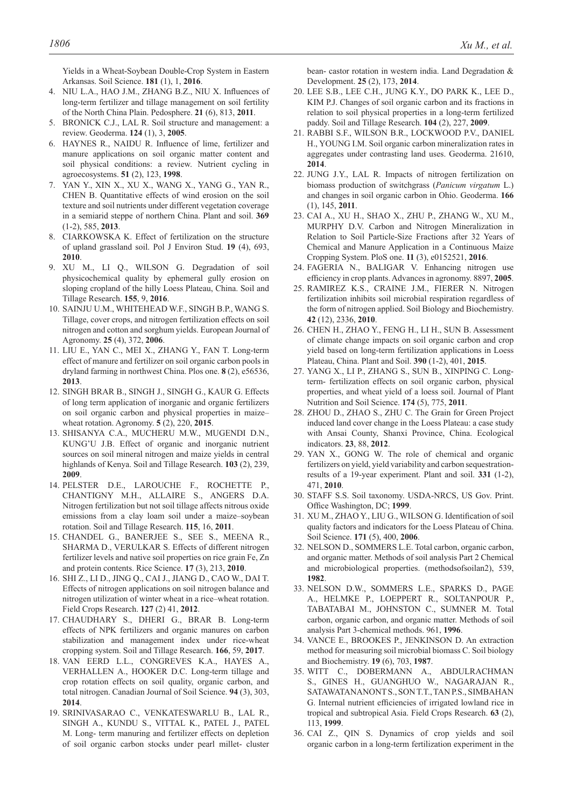Yields in a Wheat-Soybean Double-Crop System in Eastern Arkansas. Soil Science. **181** (1), 1, **2016**.

- 4. NIU L.A., HAO J.M., ZHANG B.Z., NIU X. Influences of long-term fertilizer and tillage management on soil fertility of the North China Plain. Pedosphere. **21** (6), 813, **2011**.
- 5. BRONICK C.J., LAL R. Soil structure and management: a review. Geoderma. **124** (1), 3, **2005**.
- 6. HAYNES R., NAIDU R. Influence of lime, fertilizer and manure applications on soil organic matter content and soil physical conditions: a review. Nutrient cycling in agroecosystems. **51** (2), 123, **1998**.
- 7. YAN Y., XIN X., XU X., WANG X., YANG G., YAN R., CHEN B. Quantitative effects of wind erosion on the soil texture and soil nutrients under different vegetation coverage in a semiarid steppe of northern China. Plant and soil. **369** (1-2), 585, **2013**.
- 8. CIARKOWSKA K. Effect of fertilization on the structure of upland grassland soil. Pol J Environ Stud. **19** (4), 693, **2010**.
- 9. XU M., LI Q., WILSON G. Degradation of soil physicochemical quality by ephemeral gully erosion on sloping cropland of the hilly Loess Plateau, China. Soil and Tillage Research. **155**, 9, **2016**.
- 10. SAINJU U.M., WHITEHEAD W.F., SINGH B.P., WANG S. Tillage, cover crops, and nitrogen fertilization effects on soil nitrogen and cotton and sorghum yields. European Journal of Agronomy. **25** (4), 372, **2006**.
- 11. LIU E., YAN C., MEI X., ZHANG Y., FAN T. Long-term effect of manure and fertilizer on soil organic carbon pools in dryland farming in northwest China. Plos one. **8** (2), e56536, **2013**.
- 12. SINGH BRAR B., SINGH J., SINGH G., KAUR G. Effects of long term application of inorganic and organic fertilizers on soil organic carbon and physical properties in maize– wheat rotation. Agronomy. **5** (2), 220, **2015**.
- 13. SHISANYA C.A., MUCHERU M.W., MUGENDI D.N., KUNG'U J.B. Effect of organic and inorganic nutrient sources on soil mineral nitrogen and maize yields in central highlands of Kenya. Soil and Tillage Research. **103** (2), 239, **2009**.
- 14. PELSTER D.E., LAROUCHE F., ROCHETTE P., CHANTIGNY M.H., ALLAIRE S., ANGERS D.A. Nitrogen fertilization but not soil tillage affects nitrous oxide emissions from a clay loam soil under a maize–soybean rotation. Soil and Tillage Research. **115**, 16, **2011**.
- 15. CHANDEL G., BANERJEE S., SEE S., MEENA R., SHARMA D., VERULKAR S. Effects of different nitrogen fertilizer levels and native soil properties on rice grain Fe, Zn and protein contents. Rice Science. **17** (3), 213, **2010**.
- 16. SHI Z., LI D., JING Q., CAI J., JIANG D., CAO W., DAI T. Effects of nitrogen applications on soil nitrogen balance and nitrogen utilization of winter wheat in a rice–wheat rotation. Field Crops Research. **127** (2) 41, **2012**.
- 17. CHAUDHARY S., DHERI G., BRAR B. Long-term effects of NPK fertilizers and organic manures on carbon stabilization and management index under rice-wheat cropping system. Soil and Tillage Research. **166**, 59, **2017**.
- 18. VAN EERD L.L., CONGREVES K.A., HAYES A., VERHALLEN A., HOOKER D.C. Long-term tillage and crop rotation effects on soil quality, organic carbon, and total nitrogen. Canadian Journal of Soil Science. **94** (3), 303, **2014**.
- 19. SRINIVASARAO C., VENKATESWARLU B., LAL R., SINGH A., KUNDU S., VITTAL K., PATEL J., PATEL M. Long- term manuring and fertilizer effects on depletion of soil organic carbon stocks under pearl millet- cluster

bean- castor rotation in western india. Land Degradation & Development. **25** (2), 173, **2014**.

- 20. LEE S.B., LEE C.H., JUNG K.Y., DO PARK K., LEE D., KIM P.J. Changes of soil organic carbon and its fractions in relation to soil physical properties in a long-term fertilized paddy. Soil and Tillage Research. **104** (2), 227, **2009**.
- 21. RABBI S.F., WILSON B.R., LOCKWOOD P.V., DANIEL H., YOUNG I.M. Soil organic carbon mineralization rates in aggregates under contrasting land uses. Geoderma. 21610, **2014**.
- 22. JUNG J.Y., LAL R. Impacts of nitrogen fertilization on biomass production of switchgrass (*Panicum virgatum* L.) and changes in soil organic carbon in Ohio. Geoderma. **166** (1), 145, **2011**.
- 23. CAI A., XU H., SHAO X., ZHU P., ZHANG W., XU M., MURPHY D.V. Carbon and Nitrogen Mineralization in Relation to Soil Particle-Size Fractions after 32 Years of Chemical and Manure Application in a Continuous Maize Cropping System. PloS one. **11** (3), e0152521, **2016**.
- 24. FAGERIA N., BALIGAR V. Enhancing nitrogen use efficiency in crop plants. Advances in agronomy. 8897, **2005**.
- 25. RAMIREZ K.S., CRAINE J.M., FIERER N. Nitrogen fertilization inhibits soil microbial respiration regardless of the form of nitrogen applied. Soil Biology and Biochemistry. **42** (12), 2336, **2010**.
- 26. CHEN H., ZHAO Y., FENG H., LI H., SUN B. Assessment of climate change impacts on soil organic carbon and crop yield based on long-term fertilization applications in Loess Plateau, China. Plant and Soil. **390** (1-2), 401, **2015**.
- 27. YANG X., LI P., ZHANG S., SUN B., XINPING C. Longterm- fertilization effects on soil organic carbon, physical properties, and wheat yield of a loess soil. Journal of Plant Nutrition and Soil Science. **174** (5), 775, **2011**.
- 28. ZHOU D., ZHAO S., ZHU C. The Grain for Green Project induced land cover change in the Loess Plateau: a case study with Ansai County, Shanxi Province, China. Ecological indicators. **23**, 88, **2012**.
- 29. YAN X., GONG W. The role of chemical and organic fertilizers on yield, yield variability and carbon sequestrationresults of a 19-year experiment. Plant and soil. **331** (1-2), 471, **2010**.
- 30. STAFF S.S. Soil taxonomy. USDA-NRCS, US Gov. Print. Office Washington, DC; **1999**.
- 31. XU M., ZHAO Y., LIU G., WILSON G. Identification of soil quality factors and indicators for the Loess Plateau of China. Soil Science. **171** (5), 400, **2006**.
- 32. NELSON D., SOMMERS L.E. Total carbon, organic carbon, and organic matter. Methods of soil analysis Part 2 Chemical and microbiological properties. (methodsofsoilan2), 539, **1982**.
- 33. NELSON D.W., SOMMERS L.E., SPARKS D., PAGE A., HELMKE P., LOEPPERT R., SOLTANPOUR P., TABATABAI M., JOHNSTON C., SUMNER M. Total carbon, organic carbon, and organic matter. Methods of soil analysis Part 3-chemical methods. 961, **1996**.
- 34. VANCE E., BROOKES P., JENKINSON D. An extraction method for measuring soil microbial biomass C. Soil biology and Biochemistry. **19** (6), 703, **1987**.
- 35. WITT C., DOBERMANN A., ABDULRACHMAN S., GINES H., GUANGHUO W., NAGARAJAN R., SATAWATANANONT S., SON T.T., TAN P.S., SIMBAHAN G. Internal nutrient efficiencies of irrigated lowland rice in tropical and subtropical Asia. Field Crops Research. **63** (2), 113, **1999**.
- 36. CAI Z., QIN S. Dynamics of crop yields and soil organic carbon in a long-term fertilization experiment in the